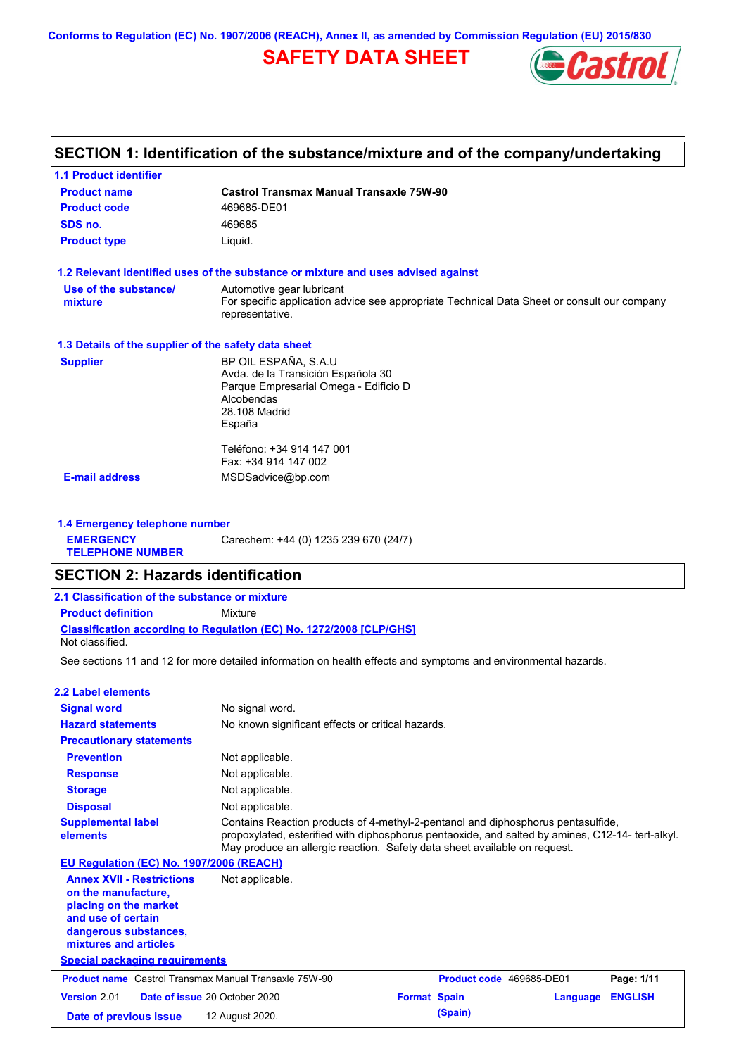**Conforms to Regulation (EC) No. 1907/2006 (REACH), Annex II, as amended by Commission Regulation (EU) 2015/830**

# **SAFETY DATA SHEET**



# **SECTION 1: Identification of the substance/mixture and of the company/undertaking**

| <b>1.1 Product identifier</b>                        |                                                                                                                |  |  |  |
|------------------------------------------------------|----------------------------------------------------------------------------------------------------------------|--|--|--|
| <b>Product name</b>                                  | <b>Castrol Transmax Manual Transaxle 75W-90</b>                                                                |  |  |  |
| <b>Product code</b>                                  | 469685-DE01                                                                                                    |  |  |  |
| SDS no.                                              | 469685                                                                                                         |  |  |  |
| <b>Product type</b>                                  | Liquid.                                                                                                        |  |  |  |
|                                                      | 1.2 Relevant identified uses of the substance or mixture and uses advised against                              |  |  |  |
| Use of the substance/                                | Automotive gear lubricant                                                                                      |  |  |  |
| mixture                                              | For specific application advice see appropriate Technical Data Sheet or consult our company<br>representative. |  |  |  |
| 1.3 Details of the supplier of the safety data sheet |                                                                                                                |  |  |  |
| <b>Supplier</b>                                      | BP OIL ESPAÑA, S.A.U                                                                                           |  |  |  |
|                                                      | Avda. de la Transición Española 30                                                                             |  |  |  |
|                                                      | Parque Empresarial Omega - Edificio D<br>Alcobendas                                                            |  |  |  |
|                                                      | 28.108 Madrid                                                                                                  |  |  |  |
|                                                      | España                                                                                                         |  |  |  |
|                                                      | Teléfono: +34 914 147 001                                                                                      |  |  |  |
|                                                      | Fax: +34 914 147 002                                                                                           |  |  |  |
| <b>E-mail address</b>                                | MSDSadvice@bp.com                                                                                              |  |  |  |

**1.4 Emergency telephone number EMERGENCY TELEPHONE NUMBER** Carechem: +44 (0) 1235 239 670 (24/7)

### **SECTION 2: Hazards identification**

| 2.1 Classification of the substance or mixture                                                |  |  |  |  |  |
|-----------------------------------------------------------------------------------------------|--|--|--|--|--|
| <b>Product definition</b><br>Mixture                                                          |  |  |  |  |  |
| <b>Classification according to Regulation (EC) No. 1272/2008 ICLP/GHS1</b><br>Not classified. |  |  |  |  |  |

See sections 11 and 12 for more detailed information on health effects and symptoms and environmental hazards.

| <b>2.2 Label elements</b>                                                                                                                                |                                                                                                                                                                                                                                                                   |                     |                          |                |
|----------------------------------------------------------------------------------------------------------------------------------------------------------|-------------------------------------------------------------------------------------------------------------------------------------------------------------------------------------------------------------------------------------------------------------------|---------------------|--------------------------|----------------|
| <b>Signal word</b>                                                                                                                                       | No signal word.                                                                                                                                                                                                                                                   |                     |                          |                |
| <b>Hazard statements</b>                                                                                                                                 | No known significant effects or critical hazards.                                                                                                                                                                                                                 |                     |                          |                |
| <b>Precautionary statements</b>                                                                                                                          |                                                                                                                                                                                                                                                                   |                     |                          |                |
| <b>Prevention</b>                                                                                                                                        | Not applicable.                                                                                                                                                                                                                                                   |                     |                          |                |
| <b>Response</b>                                                                                                                                          | Not applicable.                                                                                                                                                                                                                                                   |                     |                          |                |
| <b>Storage</b>                                                                                                                                           | Not applicable.                                                                                                                                                                                                                                                   |                     |                          |                |
| <b>Disposal</b>                                                                                                                                          | Not applicable.                                                                                                                                                                                                                                                   |                     |                          |                |
| <b>Supplemental label</b><br>elements                                                                                                                    | Contains Reaction products of 4-methyl-2-pentanol and diphosphorus pentasulfide,<br>propoxylated, esterified with diphosphorus pentaoxide, and salted by amines, C12-14- tert-alkyl.<br>May produce an allergic reaction. Safety data sheet available on request. |                     |                          |                |
| EU Regulation (EC) No. 1907/2006 (REACH)                                                                                                                 |                                                                                                                                                                                                                                                                   |                     |                          |                |
| <b>Annex XVII - Restrictions</b><br>on the manufacture,<br>placing on the market<br>and use of certain<br>dangerous substances.<br>mixtures and articles | Not applicable.                                                                                                                                                                                                                                                   |                     |                          |                |
| <b>Special packaging requirements</b>                                                                                                                    |                                                                                                                                                                                                                                                                   |                     |                          |                |
| <b>Product name</b> Castrol Transmax Manual Transaxle 75W-90                                                                                             |                                                                                                                                                                                                                                                                   |                     | Product code 469685-DE01 | Page: 1/11     |
| Version 2.01                                                                                                                                             | Date of issue 20 October 2020                                                                                                                                                                                                                                     | <b>Format Spain</b> | Language                 | <b>ENGLISH</b> |
| Date of previous issue                                                                                                                                   | 12 August 2020.                                                                                                                                                                                                                                                   | (Spain)             |                          |                |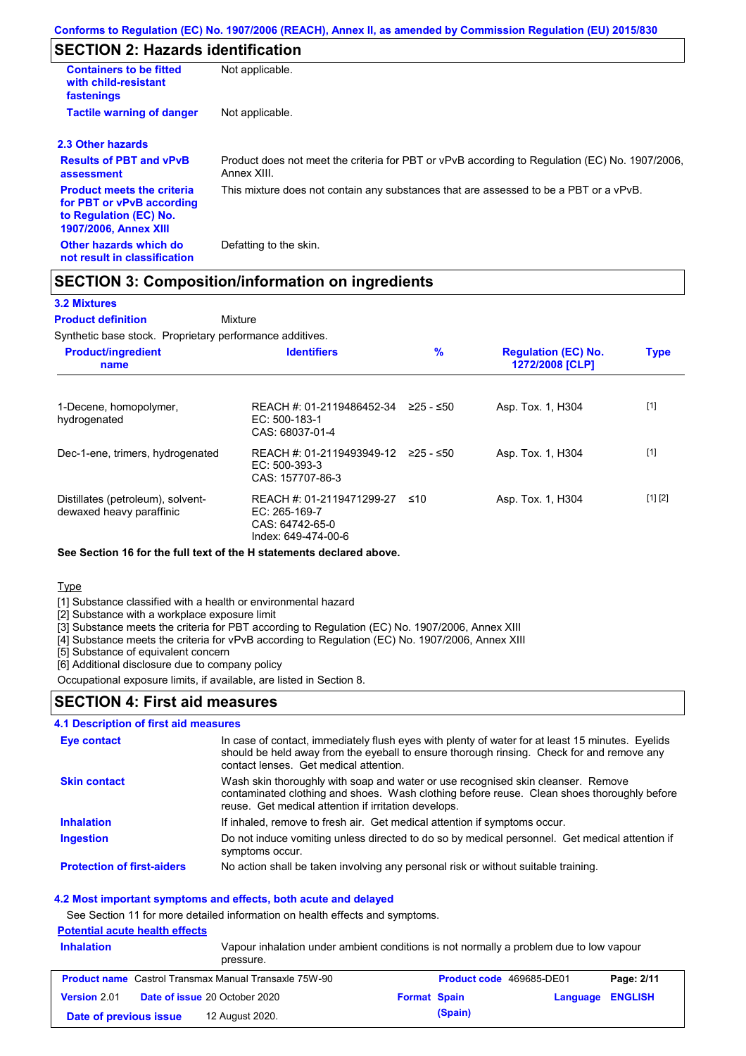# **SECTION 2: Hazards identification**

| <b>Containers to be fitted</b><br>with child-resistant<br>fastenings                                                     | Not applicable.                                                                                               |
|--------------------------------------------------------------------------------------------------------------------------|---------------------------------------------------------------------------------------------------------------|
| <b>Tactile warning of danger</b>                                                                                         | Not applicable.                                                                                               |
| 2.3 Other hazards                                                                                                        |                                                                                                               |
| <b>Results of PBT and vPvB</b><br>assessment                                                                             | Product does not meet the criteria for PBT or vPvB according to Regulation (EC) No. 1907/2006,<br>Annex XIII. |
| <b>Product meets the criteria</b><br>for PBT or vPvB according<br>to Regulation (EC) No.<br><b>1907/2006, Annex XIII</b> | This mixture does not contain any substances that are assessed to be a PBT or a vPvB.                         |
| Other hazards which do<br>not result in classification                                                                   | Defatting to the skin.                                                                                        |

### **SECTION 3: Composition/information on ingredients**

#### **3.2 Mixtures**

**Mixture Product definition**

Synthetic base stock. Proprietary performance additives.

| <b>Product/ingredient</b><br>name                             | <b>Identifiers</b>                                                                     | %         | <b>Regulation (EC) No.</b><br><b>1272/2008 [CLP]</b> | <b>Type</b> |
|---------------------------------------------------------------|----------------------------------------------------------------------------------------|-----------|------------------------------------------------------|-------------|
| 1-Decene, homopolymer,<br>hydrogenated                        | REACH #: 01-2119486452-34<br>$EC: 500-183-1$<br>CAS: 68037-01-4                        | 225 - ≤50 | Asp. Tox. 1, H304                                    | $[1]$       |
| Dec-1-ene, trimers, hydrogenated                              | REACH #: 01-2119493949-12 ≥25 - ≤50<br>EC: 500-393-3<br>CAS: 157707-86-3               |           | Asp. Tox. 1, H304                                    | $[1]$       |
| Distillates (petroleum), solvent-<br>dewaxed heavy paraffinic | REACH #: 01-2119471299-27<br>EC: $265-169-7$<br>CAS: 64742-65-0<br>Index: 649-474-00-6 | ≤10       | Asp. Tox. 1, H304                                    | [1] [2]     |

#### **See Section 16 for the full text of the H statements declared above.**

**Type** 

[1] Substance classified with a health or environmental hazard

[2] Substance with a workplace exposure limit

[3] Substance meets the criteria for PBT according to Regulation (EC) No. 1907/2006, Annex XIII

[4] Substance meets the criteria for vPvB according to Regulation (EC) No. 1907/2006, Annex XIII

[5] Substance of equivalent concern

[6] Additional disclosure due to company policy

Occupational exposure limits, if available, are listed in Section 8.

#### **SECTION 4: First aid measures**

#### **4.1 Description of first aid measures**

| <b>Eye contact</b>                | In case of contact, immediately flush eyes with plenty of water for at least 15 minutes. Eyelids<br>should be held away from the eyeball to ensure thorough rinsing. Check for and remove any<br>contact lenses. Get medical attention. |
|-----------------------------------|-----------------------------------------------------------------------------------------------------------------------------------------------------------------------------------------------------------------------------------------|
| <b>Skin contact</b>               | Wash skin thoroughly with soap and water or use recognised skin cleanser. Remove<br>contaminated clothing and shoes. Wash clothing before reuse. Clean shoes thoroughly before<br>reuse. Get medical attention if irritation develops.  |
| <b>Inhalation</b>                 | If inhaled, remove to fresh air. Get medical attention if symptoms occur.                                                                                                                                                               |
| <b>Ingestion</b>                  | Do not induce vomiting unless directed to do so by medical personnel. Get medical attention if<br>symptoms occur.                                                                                                                       |
| <b>Protection of first-aiders</b> | No action shall be taken involving any personal risk or without suitable training.                                                                                                                                                      |

#### **4.2 Most important symptoms and effects, both acute and delayed**

See Section 11 for more detailed information on health effects and symptoms.

### **Potential acute health effects**

| <b>Inhalation</b>      | Vapour inhalation under ambient conditions is not normally a problem due to low vapour<br>pressure. |                                 |                         |            |
|------------------------|-----------------------------------------------------------------------------------------------------|---------------------------------|-------------------------|------------|
|                        | <b>Product name</b> Castrol Transmax Manual Transaxle 75W-90                                        | <b>Product code</b> 469685-DE01 |                         | Page: 2/11 |
| <b>Version 2.01</b>    | <b>Date of issue 20 October 2020</b>                                                                | <b>Format Spain</b>             | <b>Language ENGLISH</b> |            |
| Date of previous issue | 12 August 2020.                                                                                     | (Spain)                         |                         |            |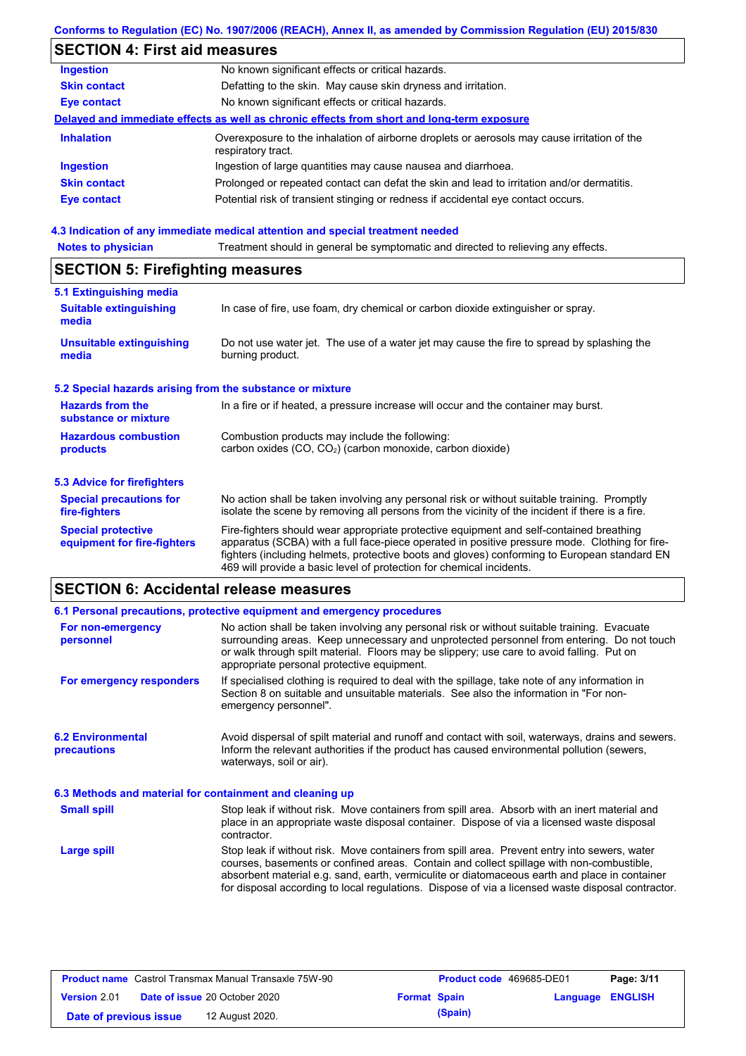## **Conforms to Regulation (EC) No. 1907/2006 (REACH), Annex II, as amended by Commission Regulation (EU) 2015/830**

# **SECTION 4: First aid measures**

| <b>Ingestion</b>    | No known significant effects or critical hazards.                                                                 |
|---------------------|-------------------------------------------------------------------------------------------------------------------|
| <b>Skin contact</b> | Defatting to the skin. May cause skin dryness and irritation.                                                     |
| Eye contact         | No known significant effects or critical hazards.                                                                 |
|                     | Delayed and immediate effects as well as chronic effects from short and long-term exposure                        |
| <b>Inhalation</b>   | Overexposure to the inhalation of airborne droplets or aerosols may cause irritation of the<br>respiratory tract. |
| <b>Ingestion</b>    | Ingestion of large quantities may cause nausea and diarrhoea.                                                     |
| <b>Skin contact</b> | Prolonged or repeated contact can defat the skin and lead to irritation and/or dermatitis.                        |
| Eye contact         | Potential risk of transient stinging or redness if accidental eye contact occurs.                                 |
|                     |                                                                                                                   |

#### **4.3 Indication of any immediate medical attention and special treatment needed**

| <b>Notes to physician</b>                                                                                                                                           | Treatment should in general be symptomatic and directed to relieving any effects.                                                                                                                                                                                                                                                                                 |  |  |
|---------------------------------------------------------------------------------------------------------------------------------------------------------------------|-------------------------------------------------------------------------------------------------------------------------------------------------------------------------------------------------------------------------------------------------------------------------------------------------------------------------------------------------------------------|--|--|
| <b>SECTION 5: Firefighting measures</b>                                                                                                                             |                                                                                                                                                                                                                                                                                                                                                                   |  |  |
| 5.1 Extinguishing media<br><b>Suitable extinguishing</b><br>media                                                                                                   | In case of fire, use foam, dry chemical or carbon dioxide extinguisher or spray.                                                                                                                                                                                                                                                                                  |  |  |
| <b>Unsuitable extinguishing</b><br>Do not use water jet. The use of a water jet may cause the fire to spread by splashing the<br>burning product.<br>media          |                                                                                                                                                                                                                                                                                                                                                                   |  |  |
| 5.2 Special hazards arising from the substance or mixture                                                                                                           |                                                                                                                                                                                                                                                                                                                                                                   |  |  |
| <b>Hazards from the</b><br>In a fire or if heated, a pressure increase will occur and the container may burst.<br>substance or mixture                              |                                                                                                                                                                                                                                                                                                                                                                   |  |  |
| <b>Hazardous combustion</b><br>Combustion products may include the following:<br>carbon oxides (CO, CO <sub>2</sub> ) (carbon monoxide, carbon dioxide)<br>products |                                                                                                                                                                                                                                                                                                                                                                   |  |  |
| 5.3 Advice for firefighters                                                                                                                                         |                                                                                                                                                                                                                                                                                                                                                                   |  |  |
| <b>Special precautions for</b><br>fire-fighters                                                                                                                     | No action shall be taken involving any personal risk or without suitable training. Promptly<br>isolate the scene by removing all persons from the vicinity of the incident if there is a fire.                                                                                                                                                                    |  |  |
| <b>Special protective</b><br>equipment for fire-fighters                                                                                                            | Fire-fighters should wear appropriate protective equipment and self-contained breathing<br>apparatus (SCBA) with a full face-piece operated in positive pressure mode. Clothing for fire-<br>fighters (including helmets, protective boots and gloves) conforming to European standard EN<br>469 will provide a basic level of protection for chemical incidents. |  |  |

# **SECTION 6: Accidental release measures**

|                                                          | 6.1 Personal precautions, protective equipment and emergency procedures                                                                                                                                                                                                                                                                                                                        |  |  |
|----------------------------------------------------------|------------------------------------------------------------------------------------------------------------------------------------------------------------------------------------------------------------------------------------------------------------------------------------------------------------------------------------------------------------------------------------------------|--|--|
| For non-emergency<br>personnel                           | No action shall be taken involving any personal risk or without suitable training. Evacuate<br>surrounding areas. Keep unnecessary and unprotected personnel from entering. Do not touch<br>or walk through spilt material. Floors may be slippery; use care to avoid falling. Put on<br>appropriate personal protective equipment.                                                            |  |  |
| For emergency responders                                 | If specialised clothing is required to deal with the spillage, take note of any information in<br>Section 8 on suitable and unsuitable materials. See also the information in "For non-<br>emergency personnel".                                                                                                                                                                               |  |  |
| <b>6.2 Environmental</b><br>precautions                  | Avoid dispersal of spilt material and runoff and contact with soil, waterways, drains and sewers.<br>Inform the relevant authorities if the product has caused environmental pollution (sewers,<br>waterways, soil or air).                                                                                                                                                                    |  |  |
| 6.3 Methods and material for containment and cleaning up |                                                                                                                                                                                                                                                                                                                                                                                                |  |  |
| <b>Small spill</b>                                       | Stop leak if without risk. Move containers from spill area. Absorb with an inert material and<br>place in an appropriate waste disposal container. Dispose of via a licensed waste disposal<br>contractor.                                                                                                                                                                                     |  |  |
| <b>Large spill</b>                                       | Stop leak if without risk. Move containers from spill area. Prevent entry into sewers, water<br>courses, basements or confined areas. Contain and collect spillage with non-combustible.<br>absorbent material e.g. sand, earth, vermiculite or diatomaceous earth and place in container<br>for disposal according to local regulations. Dispose of via a licensed waste disposal contractor. |  |  |

| <b>Product name</b> Castrol Transmax Manual Transaxle 75W-90 |  | <b>Product code</b> 469685-DE01      |                     | Page: 3/11 |                  |  |
|--------------------------------------------------------------|--|--------------------------------------|---------------------|------------|------------------|--|
| Version 2.01                                                 |  | <b>Date of issue 20 October 2020</b> | <b>Format Spain</b> |            | Language ENGLISH |  |
| Date of previous issue                                       |  | 12 August 2020.                      |                     | (Spain)    |                  |  |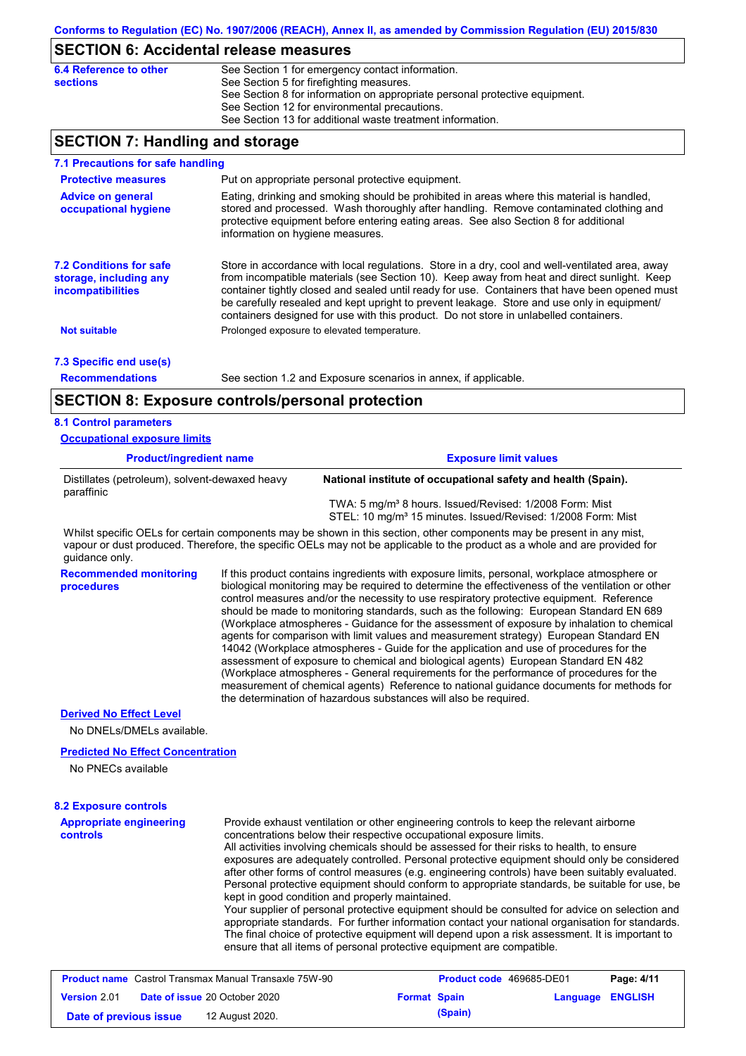### **SECTION 6: Accidental release measures**

| 6.4 Reference to other | See Section 1 for emergency contact information.                            |
|------------------------|-----------------------------------------------------------------------------|
| sections               | See Section 5 for firefighting measures.                                    |
|                        | See Section 8 for information on appropriate personal protective equipment. |
|                        | See Section 12 for environmental precautions.                               |
|                        | See Section 13 for additional waste treatment information.                  |
|                        |                                                                             |

### **SECTION 7: Handling and storage**

| 7.1 Precautions for safe handling                                                    |                                                                                                                 |                                                                                                                                                                                                                                                                                                                                                                                                                                                                                          |  |  |  |
|--------------------------------------------------------------------------------------|-----------------------------------------------------------------------------------------------------------------|------------------------------------------------------------------------------------------------------------------------------------------------------------------------------------------------------------------------------------------------------------------------------------------------------------------------------------------------------------------------------------------------------------------------------------------------------------------------------------------|--|--|--|
| <b>Protective measures</b>                                                           |                                                                                                                 | Put on appropriate personal protective equipment.                                                                                                                                                                                                                                                                                                                                                                                                                                        |  |  |  |
| <b>Advice on general</b><br>occupational hygiene                                     | information on hygiene measures.                                                                                | Eating, drinking and smoking should be prohibited in areas where this material is handled,<br>stored and processed. Wash thoroughly after handling. Remove contaminated clothing and<br>protective equipment before entering eating areas. See also Section 8 for additional                                                                                                                                                                                                             |  |  |  |
| <b>7.2 Conditions for safe</b><br>storage, including any<br><i>incompatibilities</i> |                                                                                                                 | Store in accordance with local regulations. Store in a dry, cool and well-ventilated area, away<br>from incompatible materials (see Section 10). Keep away from heat and direct sunlight. Keep<br>container tightly closed and sealed until ready for use. Containers that have been opened must<br>be carefully resealed and kept upright to prevent leakage. Store and use only in equipment/<br>containers designed for use with this product. Do not store in unlabelled containers. |  |  |  |
| <b>Not suitable</b>                                                                  | Prolonged exposure to elevated temperature.                                                                     |                                                                                                                                                                                                                                                                                                                                                                                                                                                                                          |  |  |  |
| 7.3 Specific end use(s)                                                              |                                                                                                                 |                                                                                                                                                                                                                                                                                                                                                                                                                                                                                          |  |  |  |
| <b>Recommendations</b>                                                               |                                                                                                                 | See section 1.2 and Exposure scenarios in annex, if applicable.                                                                                                                                                                                                                                                                                                                                                                                                                          |  |  |  |
| <b>SECTION 8: Exposure controls/personal protection</b>                              |                                                                                                                 |                                                                                                                                                                                                                                                                                                                                                                                                                                                                                          |  |  |  |
| <b>8.1 Control parameters</b>                                                        |                                                                                                                 |                                                                                                                                                                                                                                                                                                                                                                                                                                                                                          |  |  |  |
| <b>Occupational exposure limits</b>                                                  |                                                                                                                 |                                                                                                                                                                                                                                                                                                                                                                                                                                                                                          |  |  |  |
| <b>Product/ingredient name</b>                                                       |                                                                                                                 | <b>Exposure limit values</b>                                                                                                                                                                                                                                                                                                                                                                                                                                                             |  |  |  |
|                                                                                      | Distillates (petroleum), solvent-dewaxed heavy<br>National institute of occupational safety and health (Spain). |                                                                                                                                                                                                                                                                                                                                                                                                                                                                                          |  |  |  |

 TWA: 5 mg/m³ 8 hours. Issued/Revised: 1/2008 Form: Mist STEL: 10 mg/m<sup>3</sup> 15 minutes. Issued/Revised: 1/2008 Form: Mist

Whilst specific OELs for certain components may be shown in this section, other components may be present in any mist, vapour or dust produced. Therefore, the specific OELs may not be applicable to the product as a whole and are provided for guidance only.

**Recommended monitoring procedures** If this product contains ingredients with exposure limits, personal, workplace atmosphere or biological monitoring may be required to determine the effectiveness of the ventilation or other control measures and/or the necessity to use respiratory protective equipment. Reference should be made to monitoring standards, such as the following: European Standard EN 689 (Workplace atmospheres - Guidance for the assessment of exposure by inhalation to chemical agents for comparison with limit values and measurement strategy) European Standard EN 14042 (Workplace atmospheres - Guide for the application and use of procedures for the assessment of exposure to chemical and biological agents) European Standard EN 482 (Workplace atmospheres - General requirements for the performance of procedures for the measurement of chemical agents) Reference to national guidance documents for methods for the determination of hazardous substances will also be required.

#### **Derived No Effect Level**

paraffinic

No DNELs/DMELs available.

#### **Predicted No Effect Concentration**

No PNECs available

| <b>Appropriate engineering</b><br>controls                   | Provide exhaust ventilation or other engineering controls to keep the relevant airborne<br>concentrations below their respective occupational exposure limits.<br>All activities involving chemicals should be assessed for their risks to health, to ensure<br>exposures are adequately controlled. Personal protective equipment should only be considered<br>after other forms of control measures (e.g. engineering controls) have been suitably evaluated.<br>Personal protective equipment should conform to appropriate standards, be suitable for use, be<br>kept in good condition and properly maintained. |                          |            |
|--------------------------------------------------------------|----------------------------------------------------------------------------------------------------------------------------------------------------------------------------------------------------------------------------------------------------------------------------------------------------------------------------------------------------------------------------------------------------------------------------------------------------------------------------------------------------------------------------------------------------------------------------------------------------------------------|--------------------------|------------|
|                                                              | Your supplier of personal protective equipment should be consulted for advice on selection and<br>appropriate standards. For further information contact your national organisation for standards.<br>The final choice of protective equipment will depend upon a risk assessment. It is important to<br>ensure that all items of personal protective equipment are compatible.                                                                                                                                                                                                                                      |                          |            |
| <b>Product name</b> Castrol Transmax Manual Transaxle 75W-90 |                                                                                                                                                                                                                                                                                                                                                                                                                                                                                                                                                                                                                      | Product code 469685-DE01 | Page: 4/11 |

| <b>Product name</b> Castrol Transmax Manual Transaxle 75W-90 |  |                                      | <b>Product code</b> 469685-DE01 |         | Page: 4/11       |  |
|--------------------------------------------------------------|--|--------------------------------------|---------------------------------|---------|------------------|--|
| <b>Version 2.01</b>                                          |  | <b>Date of issue 20 October 2020</b> | <b>Format Spain</b>             |         | Language ENGLISH |  |
| Date of previous issue                                       |  | 12 August 2020.                      |                                 | (Spain) |                  |  |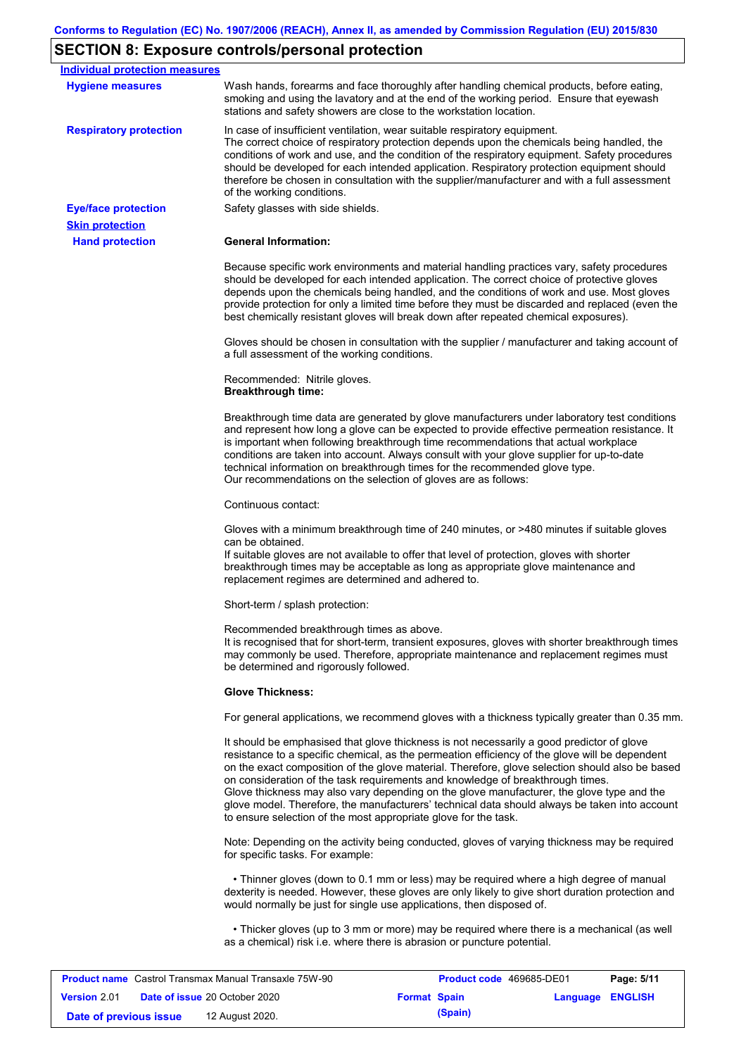# **SECTION 8: Exposure controls/personal protection**

| <b>Individual protection measures</b> |                                                                                                                                                                                                                                                                                                                                                                                                                                                                                                                                                                                                                                                   |
|---------------------------------------|---------------------------------------------------------------------------------------------------------------------------------------------------------------------------------------------------------------------------------------------------------------------------------------------------------------------------------------------------------------------------------------------------------------------------------------------------------------------------------------------------------------------------------------------------------------------------------------------------------------------------------------------------|
|                                       |                                                                                                                                                                                                                                                                                                                                                                                                                                                                                                                                                                                                                                                   |
| <b>Hygiene measures</b>               | Wash hands, forearms and face thoroughly after handling chemical products, before eating,<br>smoking and using the lavatory and at the end of the working period. Ensure that eyewash<br>stations and safety showers are close to the workstation location.                                                                                                                                                                                                                                                                                                                                                                                       |
| <b>Respiratory protection</b>         | In case of insufficient ventilation, wear suitable respiratory equipment.<br>The correct choice of respiratory protection depends upon the chemicals being handled, the<br>conditions of work and use, and the condition of the respiratory equipment. Safety procedures<br>should be developed for each intended application. Respiratory protection equipment should<br>therefore be chosen in consultation with the supplier/manufacturer and with a full assessment<br>of the working conditions.                                                                                                                                             |
| <b>Eye/face protection</b>            | Safety glasses with side shields.                                                                                                                                                                                                                                                                                                                                                                                                                                                                                                                                                                                                                 |
| <b>Skin protection</b>                |                                                                                                                                                                                                                                                                                                                                                                                                                                                                                                                                                                                                                                                   |
| <b>Hand protection</b>                | <b>General Information:</b>                                                                                                                                                                                                                                                                                                                                                                                                                                                                                                                                                                                                                       |
|                                       | Because specific work environments and material handling practices vary, safety procedures<br>should be developed for each intended application. The correct choice of protective gloves<br>depends upon the chemicals being handled, and the conditions of work and use. Most gloves<br>provide protection for only a limited time before they must be discarded and replaced (even the<br>best chemically resistant gloves will break down after repeated chemical exposures).                                                                                                                                                                  |
|                                       | Gloves should be chosen in consultation with the supplier / manufacturer and taking account of<br>a full assessment of the working conditions.                                                                                                                                                                                                                                                                                                                                                                                                                                                                                                    |
|                                       | Recommended: Nitrile gloves.<br><b>Breakthrough time:</b>                                                                                                                                                                                                                                                                                                                                                                                                                                                                                                                                                                                         |
|                                       | Breakthrough time data are generated by glove manufacturers under laboratory test conditions<br>and represent how long a glove can be expected to provide effective permeation resistance. It<br>is important when following breakthrough time recommendations that actual workplace<br>conditions are taken into account. Always consult with your glove supplier for up-to-date<br>technical information on breakthrough times for the recommended glove type.<br>Our recommendations on the selection of gloves are as follows:                                                                                                                |
|                                       | Continuous contact:                                                                                                                                                                                                                                                                                                                                                                                                                                                                                                                                                                                                                               |
|                                       | Gloves with a minimum breakthrough time of 240 minutes, or >480 minutes if suitable gloves<br>can be obtained.<br>If suitable gloves are not available to offer that level of protection, gloves with shorter<br>breakthrough times may be acceptable as long as appropriate glove maintenance and<br>replacement regimes are determined and adhered to.                                                                                                                                                                                                                                                                                          |
|                                       | Short-term / splash protection:                                                                                                                                                                                                                                                                                                                                                                                                                                                                                                                                                                                                                   |
|                                       | Recommended breakthrough times as above.<br>It is recognised that for short-term, transient exposures, gloves with shorter breakthrough times<br>may commonly be used. Therefore, appropriate maintenance and replacement regimes must<br>be determined and rigorously followed.                                                                                                                                                                                                                                                                                                                                                                  |
|                                       | <b>Glove Thickness:</b>                                                                                                                                                                                                                                                                                                                                                                                                                                                                                                                                                                                                                           |
|                                       | For general applications, we recommend gloves with a thickness typically greater than 0.35 mm.                                                                                                                                                                                                                                                                                                                                                                                                                                                                                                                                                    |
|                                       | It should be emphasised that glove thickness is not necessarily a good predictor of glove<br>resistance to a specific chemical, as the permeation efficiency of the glove will be dependent<br>on the exact composition of the glove material. Therefore, glove selection should also be based<br>on consideration of the task requirements and knowledge of breakthrough times.<br>Glove thickness may also vary depending on the glove manufacturer, the glove type and the<br>glove model. Therefore, the manufacturers' technical data should always be taken into account<br>to ensure selection of the most appropriate glove for the task. |
|                                       | Note: Depending on the activity being conducted, gloves of varying thickness may be required<br>for specific tasks. For example:                                                                                                                                                                                                                                                                                                                                                                                                                                                                                                                  |
|                                       | • Thinner gloves (down to 0.1 mm or less) may be required where a high degree of manual<br>dexterity is needed. However, these gloves are only likely to give short duration protection and<br>would normally be just for single use applications, then disposed of.                                                                                                                                                                                                                                                                                                                                                                              |
|                                       |                                                                                                                                                                                                                                                                                                                                                                                                                                                                                                                                                                                                                                                   |

| <b>Product name</b> Castrol Transmax Manual Transaxle 75W-90 |  |                                      | <b>Product code</b> 469685-DE01 |         | Page: 5/11       |  |
|--------------------------------------------------------------|--|--------------------------------------|---------------------------------|---------|------------------|--|
| <b>Version 2.01</b>                                          |  | <b>Date of issue 20 October 2020</b> | <b>Format Spain</b>             |         | Language ENGLISH |  |
| Date of previous issue                                       |  | 12 August 2020.                      |                                 | (Spain) |                  |  |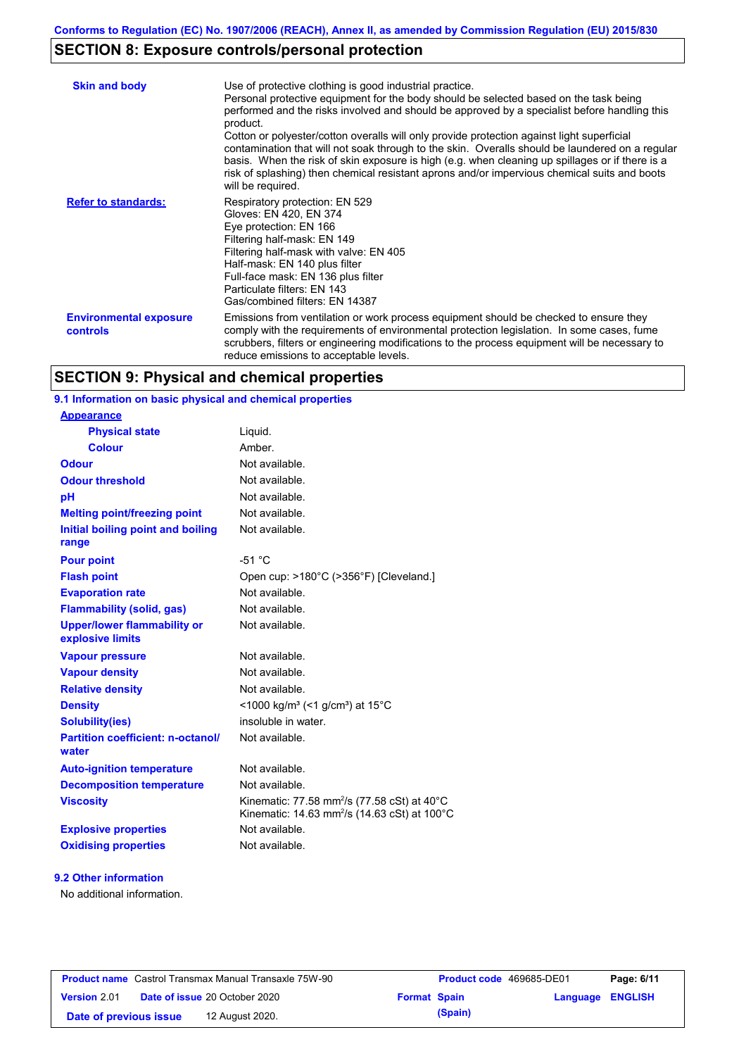# **SECTION 8: Exposure controls/personal protection**

| <b>Skin and body</b>                             | Use of protective clothing is good industrial practice.<br>Personal protective equipment for the body should be selected based on the task being<br>performed and the risks involved and should be approved by a specialist before handling this<br>product.<br>Cotton or polyester/cotton overalls will only provide protection against light superficial<br>contamination that will not soak through to the skin. Overalls should be laundered on a regular<br>basis. When the risk of skin exposure is high (e.g. when cleaning up spillages or if there is a<br>risk of splashing) then chemical resistant aprons and/or impervious chemical suits and boots<br>will be required. |
|--------------------------------------------------|---------------------------------------------------------------------------------------------------------------------------------------------------------------------------------------------------------------------------------------------------------------------------------------------------------------------------------------------------------------------------------------------------------------------------------------------------------------------------------------------------------------------------------------------------------------------------------------------------------------------------------------------------------------------------------------|
| <b>Refer to standards:</b>                       | Respiratory protection: EN 529<br>Gloves: EN 420, EN 374<br>Eye protection: EN 166<br>Filtering half-mask: EN 149<br>Filtering half-mask with valve: EN 405<br>Half-mask: EN 140 plus filter<br>Full-face mask: EN 136 plus filter<br>Particulate filters: EN 143<br>Gas/combined filters: EN 14387                                                                                                                                                                                                                                                                                                                                                                                   |
| <b>Environmental exposure</b><br><b>controls</b> | Emissions from ventilation or work process equipment should be checked to ensure they<br>comply with the requirements of environmental protection legislation. In some cases, fume<br>scrubbers, filters or engineering modifications to the process equipment will be necessary to<br>reduce emissions to acceptable levels.                                                                                                                                                                                                                                                                                                                                                         |

# **SECTION 9: Physical and chemical properties**

## **9.1 Information on basic physical and chemical properties**

| <b>Appearance</b>                                      |                                                                                                                                          |
|--------------------------------------------------------|------------------------------------------------------------------------------------------------------------------------------------------|
| <b>Physical state</b>                                  | Liguid.                                                                                                                                  |
| <b>Colour</b>                                          | Amber.                                                                                                                                   |
| <b>Odour</b>                                           | Not available.                                                                                                                           |
| <b>Odour threshold</b>                                 | Not available.                                                                                                                           |
| pH                                                     | Not available.                                                                                                                           |
| <b>Melting point/freezing point</b>                    | Not available.                                                                                                                           |
| Initial boiling point and boiling<br>range             | Not available.                                                                                                                           |
| <b>Pour point</b>                                      | $-51 °C$                                                                                                                                 |
| <b>Flash point</b>                                     | Open cup: >180°C (>356°F) [Cleveland.]                                                                                                   |
| <b>Evaporation rate</b>                                | Not available.                                                                                                                           |
| <b>Flammability (solid, gas)</b>                       | Not available.                                                                                                                           |
| <b>Upper/lower flammability or</b><br>explosive limits | Not available.                                                                                                                           |
| <b>Vapour pressure</b>                                 | Not available.                                                                                                                           |
| <b>Vapour density</b>                                  | Not available.                                                                                                                           |
| <b>Relative density</b>                                | Not available.                                                                                                                           |
| <b>Density</b>                                         | <1000 kg/m <sup>3</sup> (<1 g/cm <sup>3</sup> ) at 15 <sup>°</sup> C                                                                     |
| <b>Solubility(ies)</b>                                 | insoluble in water.                                                                                                                      |
| <b>Partition coefficient: n-octanol/</b><br>water      | Not available.                                                                                                                           |
| <b>Auto-ignition temperature</b>                       | Not available.                                                                                                                           |
| <b>Decomposition temperature</b>                       | Not available.                                                                                                                           |
| <b>Viscosity</b>                                       | Kinematic: 77.58 mm <sup>2</sup> /s (77.58 cSt) at $40^{\circ}$ C<br>Kinematic: 14.63 mm <sup>2</sup> /s (14.63 cSt) at 100 $^{\circ}$ C |
| <b>Explosive properties</b>                            | Not available.                                                                                                                           |
| <b>Oxidising properties</b>                            | Not available.                                                                                                                           |

#### **9.2 Other information**

No additional information.

| <b>Product name</b> Castrol Transmax Manual Transaxle 75W-90 |  |                                      | <b>Product code</b> 469685-DE01 |         | Page: 6/11       |  |
|--------------------------------------------------------------|--|--------------------------------------|---------------------------------|---------|------------------|--|
| <b>Version 2.01</b>                                          |  | <b>Date of issue 20 October 2020</b> | <b>Format Spain</b>             |         | Language ENGLISH |  |
| Date of previous issue                                       |  | 12 August 2020.                      |                                 | (Spain) |                  |  |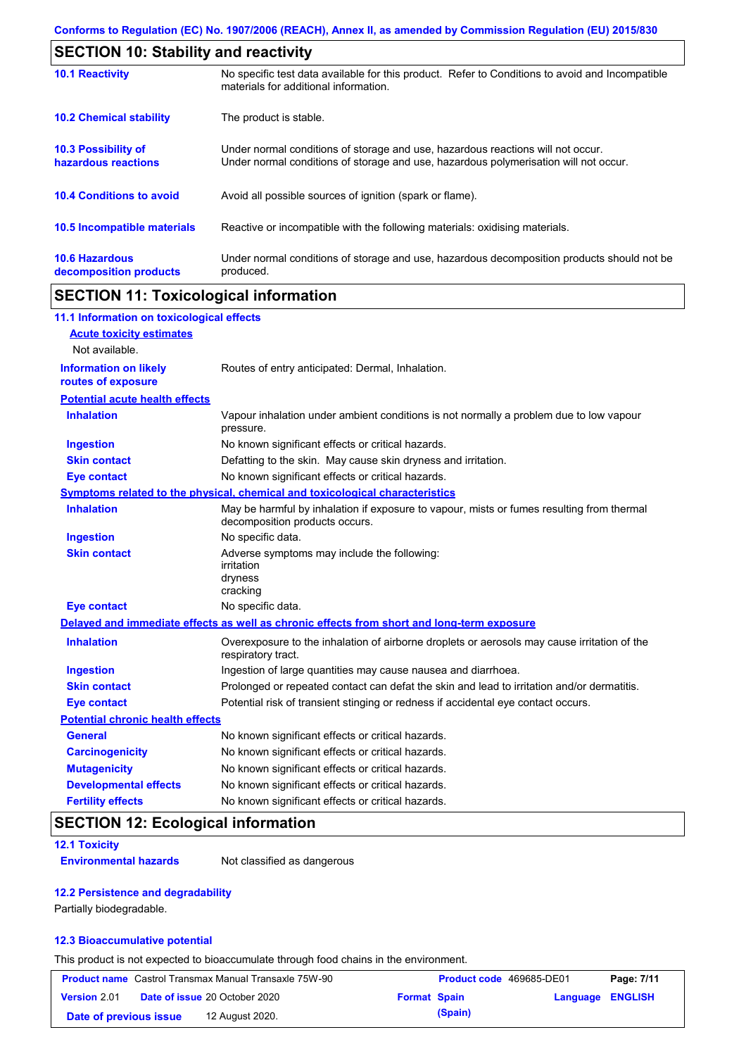| <b>SECTION 10: Stability and reactivity</b>       |                                                                                                                                                                         |  |  |
|---------------------------------------------------|-------------------------------------------------------------------------------------------------------------------------------------------------------------------------|--|--|
| <b>10.1 Reactivity</b>                            | No specific test data available for this product. Refer to Conditions to avoid and Incompatible<br>materials for additional information.                                |  |  |
| <b>10.2 Chemical stability</b>                    | The product is stable.                                                                                                                                                  |  |  |
| <b>10.3 Possibility of</b><br>hazardous reactions | Under normal conditions of storage and use, hazardous reactions will not occur.<br>Under normal conditions of storage and use, hazardous polymerisation will not occur. |  |  |
| <b>10.4 Conditions to avoid</b>                   | Avoid all possible sources of ignition (spark or flame).                                                                                                                |  |  |
| <b>10.5 Incompatible materials</b>                | Reactive or incompatible with the following materials: oxidising materials.                                                                                             |  |  |
| <b>10.6 Hazardous</b><br>decomposition products   | Under normal conditions of storage and use, hazardous decomposition products should not be<br>produced.                                                                 |  |  |

# **SECTION 11: Toxicological information**

| 11.1 Information on toxicological effects          |                                                                                                                             |
|----------------------------------------------------|-----------------------------------------------------------------------------------------------------------------------------|
| <b>Acute toxicity estimates</b>                    |                                                                                                                             |
| Not available.                                     |                                                                                                                             |
| <b>Information on likely</b><br>routes of exposure | Routes of entry anticipated: Dermal, Inhalation.                                                                            |
| <b>Potential acute health effects</b>              |                                                                                                                             |
| <b>Inhalation</b>                                  | Vapour inhalation under ambient conditions is not normally a problem due to low vapour<br>pressure.                         |
| <b>Ingestion</b>                                   | No known significant effects or critical hazards.                                                                           |
| <b>Skin contact</b>                                | Defatting to the skin. May cause skin dryness and irritation.                                                               |
| <b>Eye contact</b>                                 | No known significant effects or critical hazards.                                                                           |
|                                                    | Symptoms related to the physical, chemical and toxicological characteristics                                                |
| <b>Inhalation</b>                                  | May be harmful by inhalation if exposure to vapour, mists or fumes resulting from thermal<br>decomposition products occurs. |
| <b>Ingestion</b>                                   | No specific data.                                                                                                           |
| <b>Skin contact</b>                                | Adverse symptoms may include the following:<br>irritation<br>dryness<br>cracking                                            |
| <b>Eye contact</b>                                 | No specific data.                                                                                                           |
|                                                    | Delayed and immediate effects as well as chronic effects from short and long-term exposure                                  |
| <b>Inhalation</b>                                  | Overexposure to the inhalation of airborne droplets or aerosols may cause irritation of the<br>respiratory tract.           |
| <b>Ingestion</b>                                   | Ingestion of large quantities may cause nausea and diarrhoea.                                                               |
| <b>Skin contact</b>                                | Prolonged or repeated contact can defat the skin and lead to irritation and/or dermatitis.                                  |
| <b>Eye contact</b>                                 | Potential risk of transient stinging or redness if accidental eye contact occurs.                                           |
| <b>Potential chronic health effects</b>            |                                                                                                                             |
| <b>General</b>                                     | No known significant effects or critical hazards.                                                                           |
| <b>Carcinogenicity</b>                             | No known significant effects or critical hazards.                                                                           |
| <b>Mutagenicity</b>                                | No known significant effects or critical hazards.                                                                           |
| <b>Developmental effects</b>                       | No known significant effects or critical hazards.                                                                           |
| <b>Fertility effects</b>                           | No known significant effects or critical hazards.                                                                           |

# **SECTION 12: Ecological information**

#### **12.1 Toxicity**

**Environmental hazards** Not classified as dangerous

#### **12.2 Persistence and degradability**

Partially biodegradable.

#### **12.3 Bioaccumulative potential**

This product is not expected to bioaccumulate through food chains in the environment.

|                        | <b>Product name</b> Castrol Transmax Manual Transaxle 75W-90 |                     | Product code 469685-DE01 |                  | Page: 7/11 |
|------------------------|--------------------------------------------------------------|---------------------|--------------------------|------------------|------------|
| <b>Version 2.01</b>    | <b>Date of issue 20 October 2020</b>                         | <b>Format Spain</b> |                          | Language ENGLISH |            |
| Date of previous issue | 12 August 2020.                                              |                     | (Spain)                  |                  |            |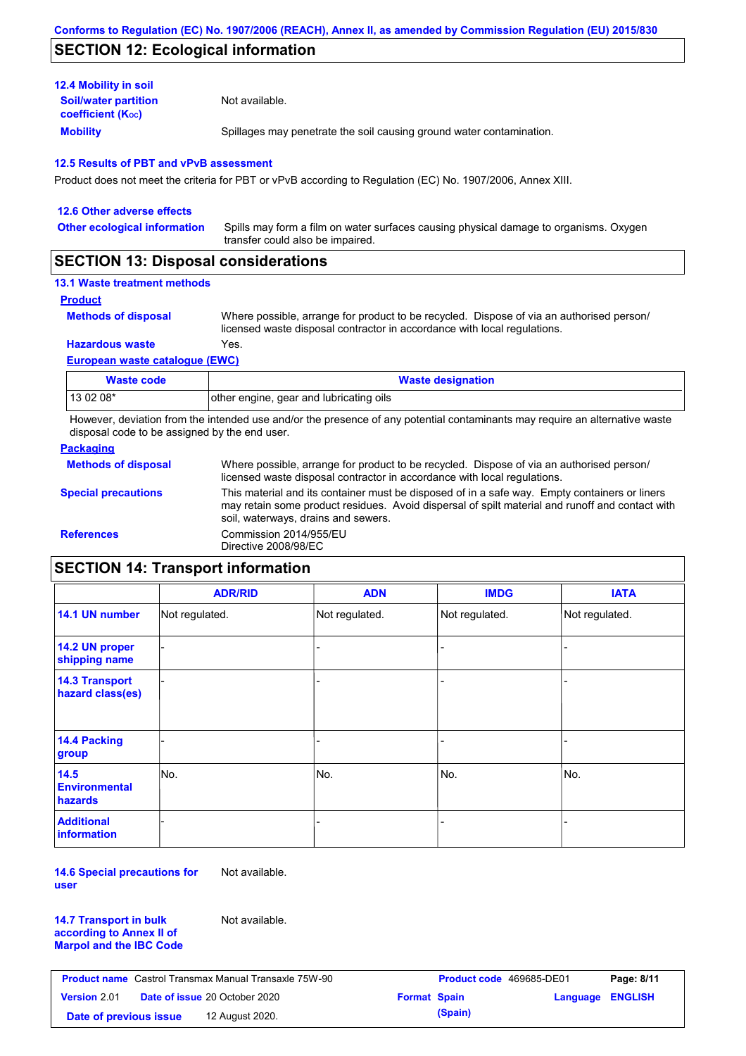## **SECTION 12: Ecological information**

| <b>12.4 Mobility in soil</b>                            |                                                                      |
|---------------------------------------------------------|----------------------------------------------------------------------|
| <b>Soil/water partition</b><br><b>coefficient (Koc)</b> | Not available.                                                       |
| <b>Mobility</b>                                         | Spillages may penetrate the soil causing ground water contamination. |

#### **12.5 Results of PBT and vPvB assessment**

Product does not meet the criteria for PBT or vPvB according to Regulation (EC) No. 1907/2006, Annex XIII.

| 12.6 Other adverse effects          |                                                                                                                           |
|-------------------------------------|---------------------------------------------------------------------------------------------------------------------------|
| <b>Other ecological information</b> | Spills may form a film on water surfaces causing physical damage to organisms. Oxygen<br>transfer could also be impaired. |
|                                     |                                                                                                                           |

### **SECTION 13: Disposal considerations**

#### **13.1 Waste treatment methods**

**Product**

```
Methods of disposal
```
Where possible, arrange for product to be recycled. Dispose of via an authorised person/ licensed waste disposal contractor in accordance with local regulations.

**Hazardous waste** Yes.

#### **European waste catalogue (EWC)**

| Waste code | <b>Waste designation</b>                |
|------------|-----------------------------------------|
| 13 02 08*  | other engine, gear and lubricating oils |

However, deviation from the intended use and/or the presence of any potential contaminants may require an alternative waste disposal code to be assigned by the end user.

#### **Packaging**

| <b>Methods of disposal</b> | Where possible, arrange for product to be recycled. Dispose of via an authorised person/<br>licensed waste disposal contractor in accordance with local regulations.                                                                    |
|----------------------------|-----------------------------------------------------------------------------------------------------------------------------------------------------------------------------------------------------------------------------------------|
| <b>Special precautions</b> | This material and its container must be disposed of in a safe way. Empty containers or liners<br>may retain some product residues. Avoid dispersal of spilt material and runoff and contact with<br>soil, waterways, drains and sewers. |
| <b>References</b>          | Commission 2014/955/EU<br>Directive 2008/98/EC                                                                                                                                                                                          |

# **SECTION 14: Transport information**

|                                                | <b>ADR/RID</b> | <b>ADN</b>     | <b>IMDG</b>    | <b>IATA</b>    |
|------------------------------------------------|----------------|----------------|----------------|----------------|
| 14.1 UN number                                 | Not regulated. | Not regulated. | Not regulated. | Not regulated. |
| 14.2 UN proper<br>shipping name                |                |                | -              |                |
| <b>14.3 Transport</b><br>hazard class(es)      |                |                |                |                |
| 14.4 Packing<br>group                          |                |                |                |                |
| 14.5<br><b>Environmental</b><br><b>hazards</b> | No.            | No.            | No.            | No.            |
| <b>Additional</b><br>information               |                |                |                |                |

**14.6 Special precautions for user** Not available.

**14.7 Transport in bulk according to Annex II of Marpol and the IBC Code** Not available.

| <b>Product name</b> Castrol Transmax Manual Transaxle 75W-90 |                                      | <b>Product code</b> 469685-DE01 |                     | Page: 8/11 |                         |  |
|--------------------------------------------------------------|--------------------------------------|---------------------------------|---------------------|------------|-------------------------|--|
| <b>Version 2.01</b>                                          | <b>Date of issue 20 October 2020</b> |                                 | <b>Format Spain</b> |            | <b>Language ENGLISH</b> |  |
| Date of previous issue                                       |                                      | 12 August 2020.                 |                     | (Spain)    |                         |  |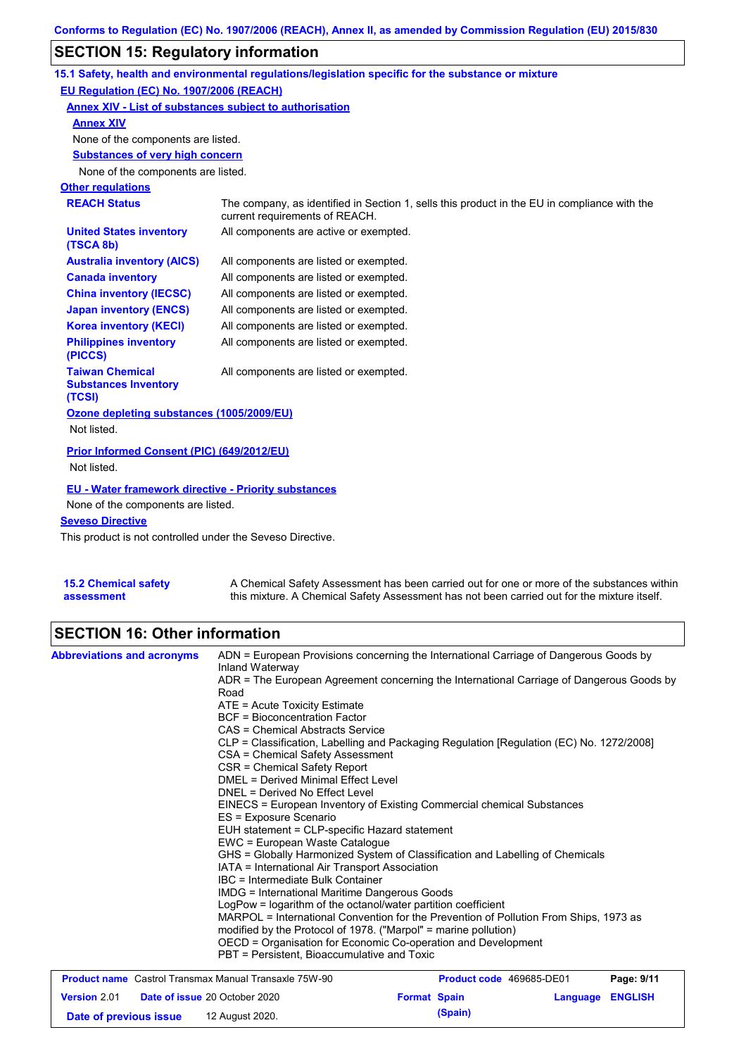# **SECTION 15: Regulatory information**

|                                                                 | 15.1 Safety, health and environmental regulations/legislation specific for the substance or mixture                            |
|-----------------------------------------------------------------|--------------------------------------------------------------------------------------------------------------------------------|
| EU Regulation (EC) No. 1907/2006 (REACH)                        |                                                                                                                                |
| Annex XIV - List of substances subject to authorisation         |                                                                                                                                |
| <b>Annex XIV</b>                                                |                                                                                                                                |
| None of the components are listed.                              |                                                                                                                                |
| <b>Substances of very high concern</b>                          |                                                                                                                                |
| None of the components are listed.                              |                                                                                                                                |
| <b>Other regulations</b>                                        |                                                                                                                                |
| <b>REACH Status</b>                                             | The company, as identified in Section 1, sells this product in the EU in compliance with the<br>current requirements of REACH. |
| <b>United States inventory</b><br>(TSCA 8b)                     | All components are active or exempted.                                                                                         |
| <b>Australia inventory (AICS)</b>                               | All components are listed or exempted.                                                                                         |
| <b>Canada inventory</b>                                         | All components are listed or exempted.                                                                                         |
| <b>China inventory (IECSC)</b>                                  | All components are listed or exempted.                                                                                         |
| <b>Japan inventory (ENCS)</b>                                   | All components are listed or exempted.                                                                                         |
| <b>Korea inventory (KECI)</b>                                   | All components are listed or exempted.                                                                                         |
| <b>Philippines inventory</b><br>(PICCS)                         | All components are listed or exempted.                                                                                         |
| <b>Taiwan Chemical</b><br><b>Substances Inventory</b><br>(TCSI) | All components are listed or exempted.                                                                                         |
| Ozone depleting substances (1005/2009/EU)<br>Not listed.        |                                                                                                                                |
| Prior Informed Consent (PIC) (649/2012/EU)<br>Not listed.       |                                                                                                                                |
| <b>EU - Water framework directive - Priority substances</b>     |                                                                                                                                |
| None of the components are listed.                              |                                                                                                                                |
| <b>Seveso Directive</b>                                         |                                                                                                                                |

This product is not controlled under the Seveso Directive.

| <b>15.2 Chemical safety</b> | A Chemical Safety Assessment has been carried out for one or more of the substances within  |
|-----------------------------|---------------------------------------------------------------------------------------------|
| assessment                  | this mixture. A Chemical Safety Assessment has not been carried out for the mixture itself. |

# **SECTION 16: Other information**

| <b>Abbreviations and acronyms</b>                            | ADN = European Provisions concerning the International Carriage of Dangerous Goods by<br>Inland Waterway                                                         |                          |                         |            |  |  |
|--------------------------------------------------------------|------------------------------------------------------------------------------------------------------------------------------------------------------------------|--------------------------|-------------------------|------------|--|--|
|                                                              | ADR = The European Agreement concerning the International Carriage of Dangerous Goods by<br>Road                                                                 |                          |                         |            |  |  |
|                                                              | $ATE = Acute Toxicity Estimate$                                                                                                                                  |                          |                         |            |  |  |
|                                                              | BCF = Bioconcentration Factor                                                                                                                                    |                          |                         |            |  |  |
|                                                              | CAS = Chemical Abstracts Service                                                                                                                                 |                          |                         |            |  |  |
|                                                              | CLP = Classification, Labelling and Packaging Regulation [Regulation (EC) No. 1272/2008]                                                                         |                          |                         |            |  |  |
|                                                              | CSA = Chemical Safety Assessment                                                                                                                                 |                          |                         |            |  |  |
|                                                              | CSR = Chemical Safety Report                                                                                                                                     |                          |                         |            |  |  |
|                                                              | DMEL = Derived Minimal Effect Level                                                                                                                              |                          |                         |            |  |  |
|                                                              | DNEL = Derived No Effect Level                                                                                                                                   |                          |                         |            |  |  |
|                                                              | EINECS = European Inventory of Existing Commercial chemical Substances                                                                                           |                          |                         |            |  |  |
|                                                              | ES = Exposure Scenario                                                                                                                                           |                          |                         |            |  |  |
|                                                              | EUH statement = CLP-specific Hazard statement<br>EWC = European Waste Catalogue<br>GHS = Globally Harmonized System of Classification and Labelling of Chemicals |                          |                         |            |  |  |
|                                                              |                                                                                                                                                                  |                          |                         |            |  |  |
|                                                              |                                                                                                                                                                  |                          |                         |            |  |  |
|                                                              | IATA = International Air Transport Association                                                                                                                   |                          |                         |            |  |  |
|                                                              | IBC = Intermediate Bulk Container                                                                                                                                |                          |                         |            |  |  |
|                                                              | <b>IMDG = International Maritime Dangerous Goods</b>                                                                                                             |                          |                         |            |  |  |
|                                                              | LogPow = logarithm of the octanol/water partition coefficient                                                                                                    |                          |                         |            |  |  |
|                                                              | MARPOL = International Convention for the Prevention of Pollution From Ships, 1973 as                                                                            |                          |                         |            |  |  |
|                                                              | modified by the Protocol of 1978. ("Marpol" = marine pollution)<br>OECD = Organisation for Economic Co-operation and Development                                 |                          |                         |            |  |  |
|                                                              |                                                                                                                                                                  |                          |                         |            |  |  |
|                                                              | PBT = Persistent, Bioaccumulative and Toxic                                                                                                                      |                          |                         |            |  |  |
| <b>Product name</b> Castrol Transmax Manual Transaxle 75W-90 |                                                                                                                                                                  | Product code 469685-DE01 |                         | Page: 9/11 |  |  |
| <b>Version 2.01</b>                                          | <b>Date of issue 20 October 2020</b>                                                                                                                             | <b>Format Spain</b>      | <b>Language ENGLISH</b> |            |  |  |

**Date of previous issue 12 August 2020. (Spain) (Spain)**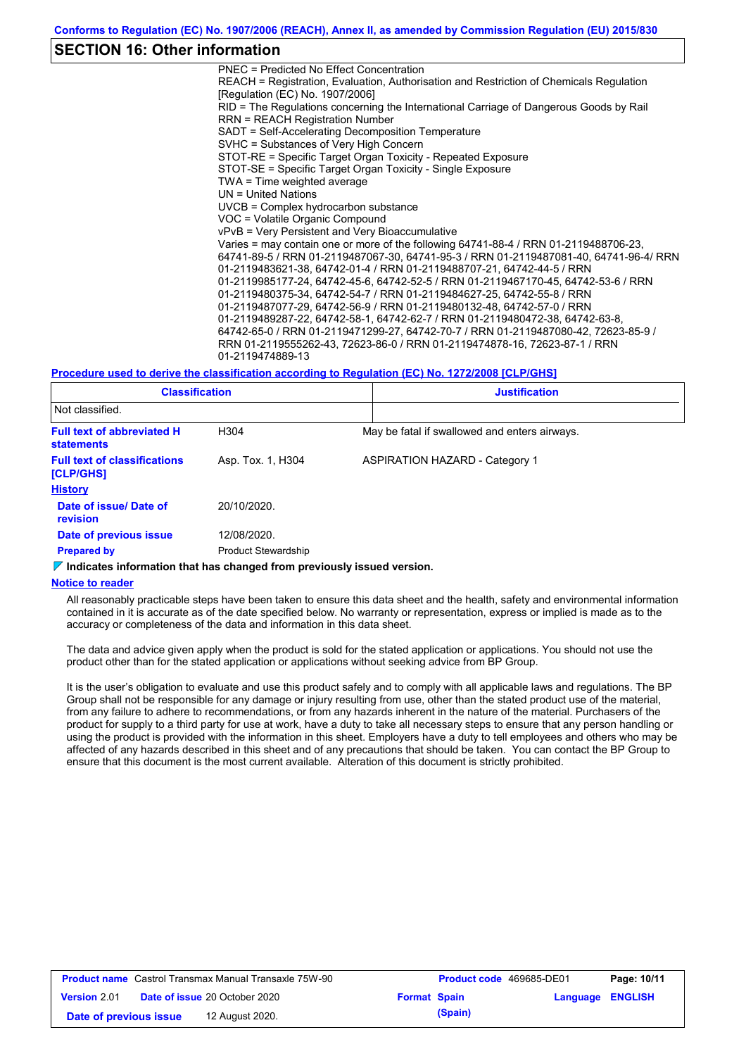### **SECTION 16: Other information**

PNEC = Predicted No Effect Concentration REACH = Registration, Evaluation, Authorisation and Restriction of Chemicals Regulation [Regulation (EC) No. 1907/2006] RID = The Regulations concerning the International Carriage of Dangerous Goods by Rail RRN = REACH Registration Number SADT = Self-Accelerating Decomposition Temperature SVHC = Substances of Very High Concern STOT-RE = Specific Target Organ Toxicity - Repeated Exposure STOT-SE = Specific Target Organ Toxicity - Single Exposure TWA = Time weighted average UN = United Nations UVCB = Complex hydrocarbon substance VOC = Volatile Organic Compound vPvB = Very Persistent and Very Bioaccumulative Varies = may contain one or more of the following 64741-88-4 / RRN 01-2119488706-23, 64741-89-5 / RRN 01-2119487067-30, 64741-95-3 / RRN 01-2119487081-40, 64741-96-4/ RRN 01-2119483621-38, 64742-01-4 / RRN 01-2119488707-21, 64742-44-5 / RRN 01-2119985177-24, 64742-45-6, 64742-52-5 / RRN 01-2119467170-45, 64742-53-6 / RRN 01-2119480375-34, 64742-54-7 / RRN 01-2119484627-25, 64742-55-8 / RRN 01-2119487077-29, 64742-56-9 / RRN 01-2119480132-48, 64742-57-0 / RRN 01-2119489287-22, 64742-58-1, 64742-62-7 / RRN 01-2119480472-38, 64742-63-8, 64742-65-0 / RRN 01-2119471299-27, 64742-70-7 / RRN 01-2119487080-42, 72623-85-9 / RRN 01-2119555262-43, 72623-86-0 / RRN 01-2119474878-16, 72623-87-1 / RRN 01-2119474889-13

#### **Procedure used to derive the classification according to Regulation (EC) No. 1272/2008 [CLP/GHS]**

| <b>Classification</b>                                  |                            | <b>Justification</b>                          |
|--------------------------------------------------------|----------------------------|-----------------------------------------------|
| Not classified.                                        |                            |                                               |
| <b>Full text of abbreviated H</b><br><b>statements</b> | H304                       | May be fatal if swallowed and enters airways. |
| <b>Full text of classifications</b><br>[CLP/GHS]       | Asp. Tox. 1, H304          | <b>ASPIRATION HAZARD - Category 1</b>         |
| <b>History</b>                                         |                            |                                               |
| Date of issue/ Date of<br>revision                     | 20/10/2020.                |                                               |
| Date of previous issue                                 | 12/08/2020.                |                                               |
| <b>Prepared by</b>                                     | <b>Product Stewardship</b> |                                               |

#### **Indicates information that has changed from previously issued version.**

#### **Notice to reader**

All reasonably practicable steps have been taken to ensure this data sheet and the health, safety and environmental information contained in it is accurate as of the date specified below. No warranty or representation, express or implied is made as to the accuracy or completeness of the data and information in this data sheet.

The data and advice given apply when the product is sold for the stated application or applications. You should not use the product other than for the stated application or applications without seeking advice from BP Group.

It is the user's obligation to evaluate and use this product safely and to comply with all applicable laws and regulations. The BP Group shall not be responsible for any damage or injury resulting from use, other than the stated product use of the material, from any failure to adhere to recommendations, or from any hazards inherent in the nature of the material. Purchasers of the product for supply to a third party for use at work, have a duty to take all necessary steps to ensure that any person handling or using the product is provided with the information in this sheet. Employers have a duty to tell employees and others who may be affected of any hazards described in this sheet and of any precautions that should be taken. You can contact the BP Group to ensure that this document is the most current available. Alteration of this document is strictly prohibited.

| <b>Product name</b> Castrol Transmax Manual Transaxle 75W-90 |  | <b>Product code</b> 469685-DE01      |                     | Page: 10/11 |                         |  |
|--------------------------------------------------------------|--|--------------------------------------|---------------------|-------------|-------------------------|--|
| <b>Version 2.01</b>                                          |  | <b>Date of issue 20 October 2020</b> | <b>Format Spain</b> |             | <b>Language ENGLISH</b> |  |
| Date of previous issue                                       |  | 12 August 2020.                      |                     | (Spain)     |                         |  |